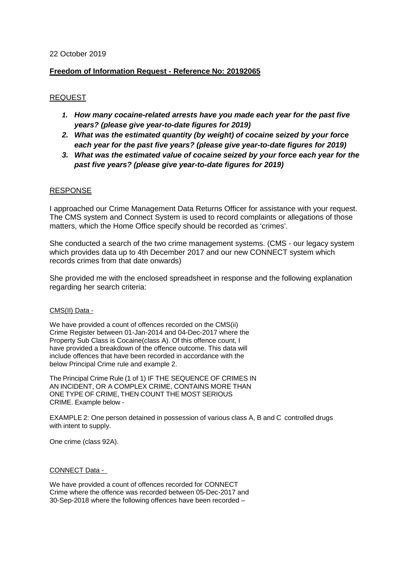## 22 October 2019

# **Freedom of Information Request - Reference No: 20192065**

# REQUEST

- *1. How many cocaine-related arrests have you made each year for the past five years? (please give year-to-date figures for 2019)*
- *2. What was the estimated quantity (by weight) of cocaine seized by your force each year for the past five years? (please give year-to-date figures for 2019)*
- *3. What was the estimated value of cocaine seized by your force each year for the past five years? (please give year-to-date figures for 2019)*

### RESPONSE

I approached our Crime Management Data Returns Officer for assistance with your request. The CMS system and Connect System is used to record complaints or allegations of those matters, which the Home Office specify should be recorded as 'crimes'.

She conducted a search of the two crime management systems. (CMS - our legacy system which provides data up to 4th December 2017 and our new CONNECT system which records crimes from that date onwards)

She provided me with the enclosed spreadsheet in response and the following explanation regarding her search criteria:

### CMS(II) Data -

We have provided a count of offences recorded on the CMS(ii) Crime Register between 01-Jan-2014 and 04-Dec-2017 where the Property Sub Class is Cocaine(class A). Of this offence count, I have provided a breakdown of the offence outcome. This data will include offences that have been recorded in accordance with the below Principal Crime rule and example 2.

The Principal Crime Rule (1 of 1) IF THE SEQUENCE OF CRIMES IN AN INCIDENT, OR A COMPLEX CRIME, CONTAINS MORE THAN ONE TYPE OF CRIME, THEN COUNT THE MOST SERIOUS CRIME. Example below -

EXAMPLE 2: One person detained in possession of various class A, B and C controlled drugs with intent to supply.

One crime (class 92A).

### CONNECT Data -

We have provided a count of offences recorded for CONNECT Crime where the offence was recorded between 05-Dec-2017 and 30-Sep-2018 where the following offences have been recorded –